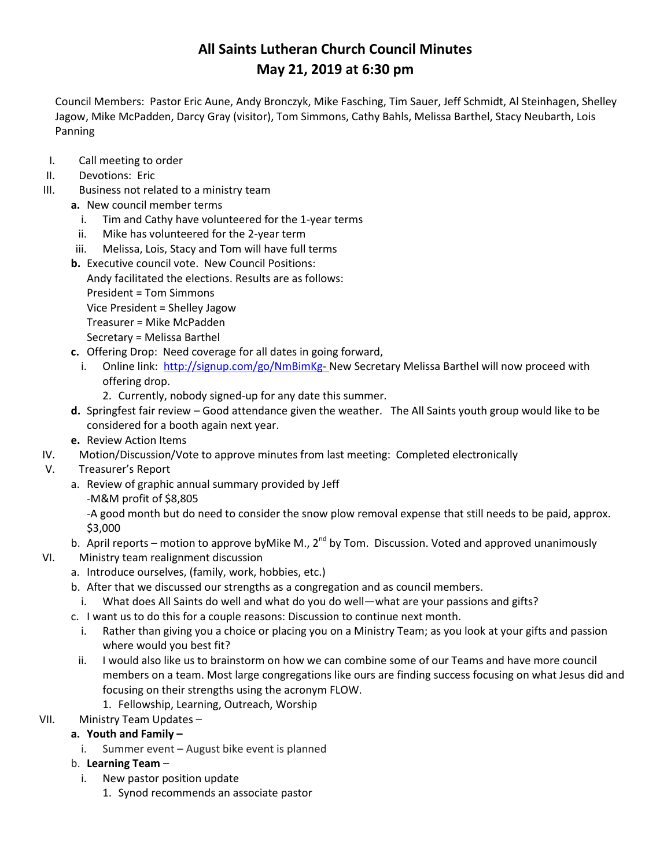# **All Saints Lutheran Church Council Minutes May 21, 2019 at 6:30 pm**

Council Members: Pastor Eric Aune, Andy Bronczyk, Mike Fasching, Tim Sauer, Jeff Schmidt, Al Steinhagen, Shelley Jagow, Mike McPadden, Darcy Gray (visitor), Tom Simmons, Cathy Bahls, Melissa Barthel, Stacy Neubarth, Lois Panning

- I. Call meeting to order
- II. Devotions: Eric
- III. Business not related to a ministry team
	- **a.** New council member terms
		- i. Tim and Cathy have volunteered for the 1-year terms
		- ii. Mike has volunteered for the 2-year term
		- iii. Melissa, Lois, Stacy and Tom will have full terms
		- **b.** Executive council vote. New Council Positions:
			- Andy facilitated the elections. Results are as follows:

President = Tom Simmons

Vice President = Shelley Jagow

- Treasurer = Mike McPadden
- Secretary = Melissa Barthel
- **c.** Offering Drop: Need coverage for all dates in going forward,
	- i. Online link: [http://signup.com/go/NmBimKg-](http://signup.com/go/NmBimKg)New Secretary Melissa Barthel will now proceed with offering drop.
		- 2. Currently, nobody signed-up for any date this summer.
- **d.** Springfest fair review Good attendance given the weather. The All Saints youth group would like to be considered for a booth again next year.
- **e.** Review Action Items
- IV. Motion/Discussion/Vote to approve minutes from last meeting: Completed electronically
- V. Treasurer's Report
	- a. Review of graphic annual summary provided by Jeff
		- -M&M profit of \$8,805

-A good month but do need to consider the snow plow removal expense that still needs to be paid, approx. \$3,000

- b. April reports motion to approve byMike M., 2<sup>nd</sup> by Tom. Discussion. Voted and approved unanimously
- VI. Ministry team realignment discussion
	- a. Introduce ourselves, (family, work, hobbies, etc.)
	- b. After that we discussed our strengths as a congregation and as council members.
		- i. What does All Saints do well and what do you do well—what are your passions and gifts?
	- c. I want us to do this for a couple reasons: Discussion to continue next month.
		- i. Rather than giving you a choice or placing you on a Ministry Team; as you look at your gifts and passion where would you best fit?
	- ii. I would also like us to brainstorm on how we can combine some of our Teams and have more council members on a team. Most large congregations like ours are finding success focusing on what Jesus did and focusing on their strengths using the acronym FLOW.
		- 1. Fellowship, Learning, Outreach, Worship
- VII. Ministry Team Updates –

#### **a. Youth and Family –**

- i. Summer event August bike event is planned
- b. **Learning Team**
	- i. New pastor position update
		- 1. Synod recommends an associate pastor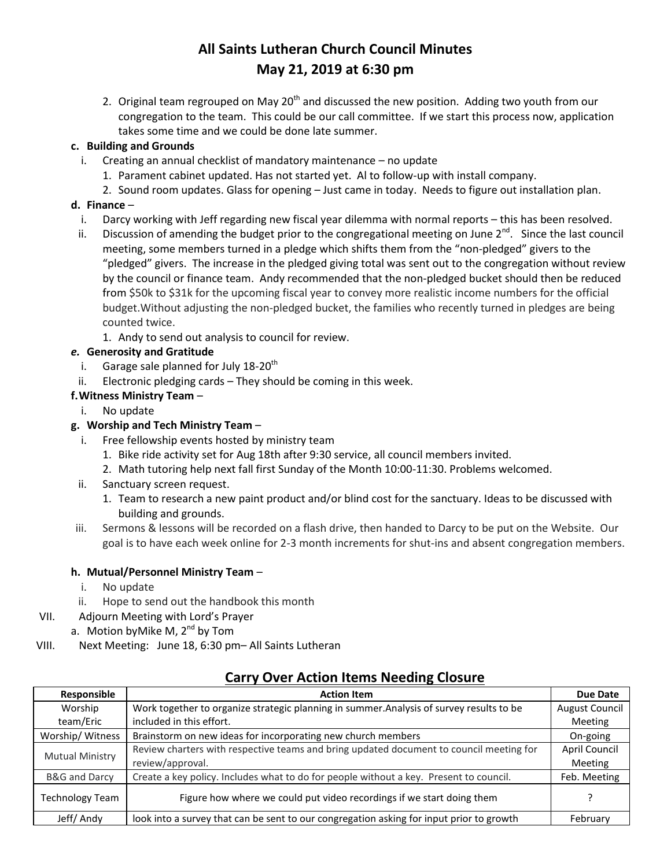# **All Saints Lutheran Church Council Minutes May 21, 2019 at 6:30 pm**

2. Original team regrouped on May  $20<sup>th</sup>$  and discussed the new position. Adding two youth from our congregation to the team. This could be our call committee. If we start this process now, application takes some time and we could be done late summer.

#### **c. Building and Grounds**

- i. Creating an annual checklist of mandatory maintenance no update
	- 1. Parament cabinet updated. Has not started yet. Al to follow-up with install company.
	- 2. Sound room updates. Glass for opening Just came in today. Needs to figure out installation plan.

#### **d. Finance** –

- i. Darcy working with Jeff regarding new fiscal year dilemma with normal reports this has been resolved.
- ii. Discussion of amending the budget prior to the congregational meeting on June 2<sup>nd</sup>. Since the last council meeting, some members turned in a pledge which shifts them from the "non-pledged" givers to the "pledged" givers. The increase in the pledged giving total was sent out to the congregation without review by the council or finance team. Andy recommended that the non-pledged bucket should then be reduced from \$50k to \$31k for the upcoming fiscal year to convey more realistic income numbers for the official budget.Without adjusting the non-pledged bucket, the families who recently turned in pledges are being counted twice.
	- 1. Andy to send out analysis to council for review.

#### *e.* **Generosity and Gratitude**

- i. Garage sale planned for July  $18-20^{th}$
- ii. Electronic pledging cards They should be coming in this week.
- **f.Witness Ministry Team**
	- i. No update

#### **g. Worship and Tech Ministry Team** –

- i. Free fellowship events hosted by ministry team
	- 1. Bike ride activity set for Aug 18th after 9:30 service, all council members invited.
	- 2. Math tutoring help next fall first Sunday of the Month 10:00-11:30. Problems welcomed.
- ii. Sanctuary screen request.
	- 1. Team to research a new paint product and/or blind cost for the sanctuary. Ideas to be discussed with building and grounds.
- iii. Sermons & lessons will be recorded on a flash drive, then handed to Darcy to be put on the Website. Our goal is to have each week online for 2-3 month increments for shut-ins and absent congregation members.

#### **h. Mutual/Personnel Ministry Team** –

- i. No update
- ii. Hope to send out the handbook this month
- VII. Adjourn Meeting with Lord's Prayer
	- a. Motion by Mike M,  $2^{nd}$  by Tom
- VIII. Next Meeting: June 18, 6:30 pm– All Saints Lutheran

## **Carry Over Action Items Needing Closure**

| Responsible            | <b>Action Item</b>                                                                       | <b>Due Date</b>       |
|------------------------|------------------------------------------------------------------------------------------|-----------------------|
| Worship                | Work together to organize strategic planning in summer. Analysis of survey results to be | <b>August Council</b> |
| team/Eric              | included in this effort.                                                                 | Meeting               |
| Worship/Witness        | Brainstorm on new ideas for incorporating new church members                             | On-going              |
| <b>Mutual Ministry</b> | Review charters with respective teams and bring updated document to council meeting for  | April Council         |
|                        | review/approval.                                                                         | Meeting               |
| B&G and Darcy          | Create a key policy. Includes what to do for people without a key. Present to council.   | Feb. Meeting          |
| <b>Technology Team</b> | Figure how where we could put video recordings if we start doing them                    |                       |
| Jeff/Andy              | look into a survey that can be sent to our congregation asking for input prior to growth | February              |